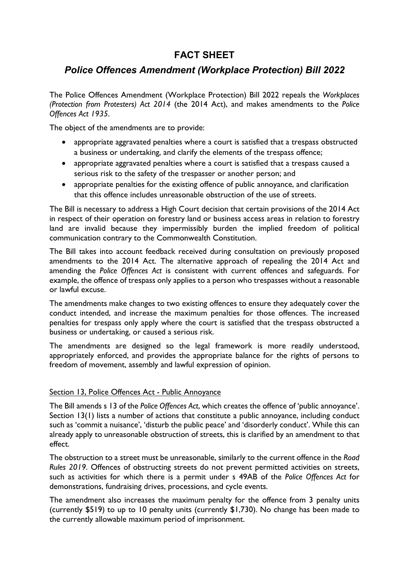## FACT SHEET

## Police Offences Amendment (Workplace Protection) Bill 2022

The Police Offences Amendment (Workplace Protection) Bill 2022 repeals the Workplaces (Protection from Protesters) Act 2014 (the 2014 Act), and makes amendments to the Police Offences Act 1935.

The object of the amendments are to provide:

- appropriate aggravated penalties where a court is satisfied that a trespass obstructed a business or undertaking, and clarify the elements of the trespass offence;
- appropriate aggravated penalties where a court is satisfied that a trespass caused a serious risk to the safety of the trespasser or another person; and
- appropriate penalties for the existing offence of public annoyance, and clarification that this offence includes unreasonable obstruction of the use of streets.

The Bill is necessary to address a High Court decision that certain provisions of the 2014 Act in respect of their operation on forestry land or business access areas in relation to forestry land are invalid because they impermissibly burden the implied freedom of political communication contrary to the Commonwealth Constitution.

The Bill takes into account feedback received during consultation on previously proposed amendments to the 2014 Act. The alternative approach of repealing the 2014 Act and amending the Police Offences Act is consistent with current offences and safeguards. For example, the offence of trespass only applies to a person who trespasses without a reasonable or lawful excuse.

The amendments make changes to two existing offences to ensure they adequately cover the conduct intended, and increase the maximum penalties for those offences. The increased penalties for trespass only apply where the court is satisfied that the trespass obstructed a business or undertaking, or caused a serious risk.

The amendments are designed so the legal framework is more readily understood, appropriately enforced, and provides the appropriate balance for the rights of persons to freedom of movement, assembly and lawful expression of opinion.

## Section 13, Police Offences Act - Public Annoyance

The Bill amends s 13 of the Police Offences Act, which creates the offence of 'public annoyance'. Section 13(1) lists a number of actions that constitute a public annoyance, including conduct such as 'commit a nuisance', 'disturb the public peace' and 'disorderly conduct'. While this can already apply to unreasonable obstruction of streets, this is clarified by an amendment to that effect.

The obstruction to a street must be unreasonable, similarly to the current offence in the Road Rules 2019. Offences of obstructing streets do not prevent permitted activities on streets, such as activities for which there is a permit under s 49AB of the Police Offences Act for demonstrations, fundraising drives, processions, and cycle events.

The amendment also increases the maximum penalty for the offence from 3 penalty units (currently \$519) to up to 10 penalty units (currently \$1,730). No change has been made to the currently allowable maximum period of imprisonment.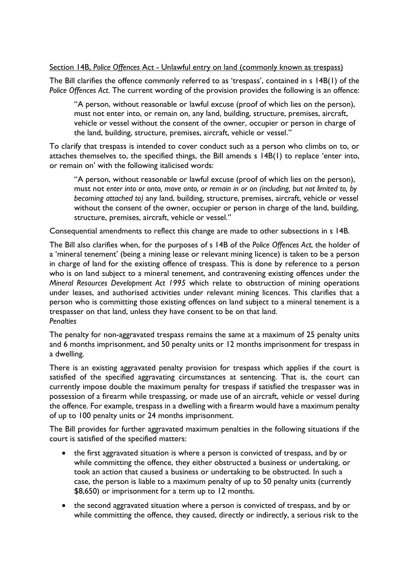## Section 14B, Police Offences Act - Unlawful entry on land (commonly known as trespass)

The Bill clarifies the offence commonly referred to as 'trespass', contained in s 14B(1) of the Police Offences Act. The current wording of the provision provides the following is an offence:

"A person, without reasonable or lawful excuse (proof of which lies on the person), must not enter into, or remain on, any land, building, structure, premises, aircraft, vehicle or vessel without the consent of the owner, occupier or person in charge of the land, building, structure, premises, aircraft, vehicle or vessel."

To clarify that trespass is intended to cover conduct such as a person who climbs on to, or attaches themselves to, the specified things, the Bill amends s 14B(1) to replace 'enter into, or remain on' with the following italicised words:

"A person, without reasonable or lawful excuse (proof of which lies on the person), must not enter into or onto, move onto, or remain in or on (including, but not limited to, by becoming attached to) any land, building, structure, premises, aircraft, vehicle or vessel without the consent of the owner, occupier or person in charge of the land, building, structure, premises, aircraft, vehicle or vessel."

Consequential amendments to reflect this change are made to other subsections in s 14B.

The Bill also clarifies when, for the purposes of s 14B of the Police Offences Act, the holder of a 'mineral tenement' (being a mining lease or relevant mining licence) is taken to be a person in charge of land for the existing offence of trespass. This is done by reference to a person who is on land subject to a mineral tenement, and contravening existing offences under the Mineral Resources Development Act 1995 which relate to obstruction of mining operations under leases, and authorised activities under relevant mining licences. This clarifies that a person who is committing those existing offences on land subject to a mineral tenement is a trespasser on that land, unless they have consent to be on that land. **Penalties** 

The penalty for non-aggravated trespass remains the same at a maximum of 25 penalty units and 6 months imprisonment, and 50 penalty units or 12 months imprisonment for trespass in a dwelling.

There is an existing aggravated penalty provision for trespass which applies if the court is satisfied of the specified aggravating circumstances at sentencing. That is, the court can currently impose double the maximum penalty for trespass if satisfied the trespasser was in possession of a firearm while trespassing, or made use of an aircraft, vehicle or vessel during the offence. For example, trespass in a dwelling with a firearm would have a maximum penalty of up to 100 penalty units or 24 months imprisonment.

The Bill provides for further aggravated maximum penalties in the following situations if the court is satisfied of the specified matters:

- the first aggravated situation is where a person is convicted of trespass, and by or while committing the offence, they either obstructed a business or undertaking, or took an action that caused a business or undertaking to be obstructed. In such a case, the person is liable to a maximum penalty of up to 50 penalty units (currently \$8,650) or imprisonment for a term up to 12 months.
- the second aggravated situation where a person is convicted of trespass, and by or while committing the offence, they caused, directly or indirectly, a serious risk to the